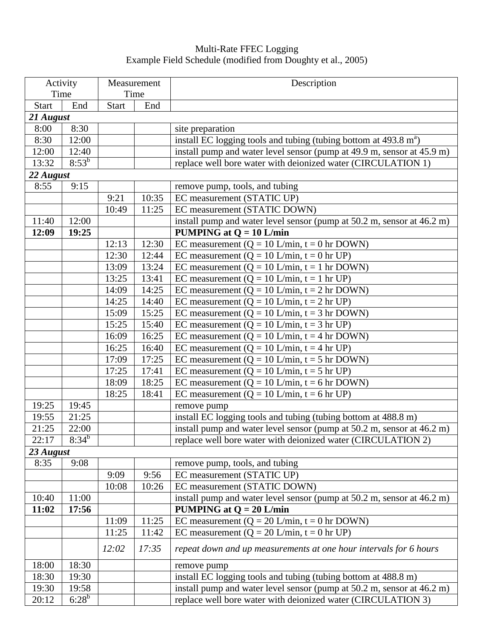## Multi-Rate FFEC Logging Example Field Schedule (modified from Doughty et al., 2005)

| Activity     |            | Measurement  |       | Description                                                                          |  |  |  |  |
|--------------|------------|--------------|-------|--------------------------------------------------------------------------------------|--|--|--|--|
| Time         |            |              | Time  |                                                                                      |  |  |  |  |
| <b>Start</b> | End        | <b>Start</b> | End   |                                                                                      |  |  |  |  |
| 21 August    |            |              |       |                                                                                      |  |  |  |  |
| 8:00         | 8:30       |              |       | site preparation                                                                     |  |  |  |  |
| 8:30         | 12:00      |              |       | install EC logging tools and tubing (tubing bottom at $493.8 \text{ m}^{\text{a}}$ ) |  |  |  |  |
| 12:00        | 12:40      |              |       | install pump and water level sensor (pump at 49.9 m, sensor at 45.9 m)               |  |  |  |  |
| 13:32        | $8:53^{b}$ |              |       | replace well bore water with deionized water (CIRCULATION 1)                         |  |  |  |  |
| 22 August    |            |              |       |                                                                                      |  |  |  |  |
| 8:55         | 9:15       |              |       | remove pump, tools, and tubing                                                       |  |  |  |  |
|              |            | 9:21         | 10:35 | EC measurement (STATIC UP)                                                           |  |  |  |  |
|              |            | 10:49        | 11:25 | EC measurement (STATIC DOWN)                                                         |  |  |  |  |
| 11:40        | 12:00      |              |       | install pump and water level sensor (pump at 50.2 m, sensor at 46.2 m)               |  |  |  |  |
| 12:09        | 19:25      |              |       | <b>PUMPING at Q = 10 L/min</b>                                                       |  |  |  |  |
|              |            | 12:13        | 12:30 | EC measurement ( $Q = 10$ L/min, $t = 0$ hr DOWN)                                    |  |  |  |  |
|              |            | 12:30        | 12:44 | EC measurement ( $Q = 10$ L/min, $t = 0$ hr UP)                                      |  |  |  |  |
|              |            | 13:09        | 13:24 | EC measurement ( $Q = 10$ L/min, $t = 1$ hr DOWN)                                    |  |  |  |  |
|              |            | 13:25        | 13:41 | EC measurement ( $Q = 10$ L/min, $t = 1$ hr UP)                                      |  |  |  |  |
|              |            | 14:09        | 14:25 | EC measurement ( $Q = 10$ L/min, $t = 2$ hr DOWN)                                    |  |  |  |  |
|              |            | 14:25        | 14:40 | EC measurement ( $Q = 10$ L/min, $t = 2$ hr UP)                                      |  |  |  |  |
|              |            | 15:09        | 15:25 | EC measurement ( $Q = 10$ L/min, $t = 3$ hr DOWN)                                    |  |  |  |  |
|              |            | 15:25        | 15:40 | EC measurement ( $Q = 10$ L/min, $t = 3$ hr UP)                                      |  |  |  |  |
|              |            | 16:09        | 16:25 | EC measurement ( $Q = 10$ L/min, $t = 4$ hr DOWN)                                    |  |  |  |  |
|              |            | 16:25        | 16:40 | EC measurement ( $Q = 10$ L/min, $t = 4$ hr UP)                                      |  |  |  |  |
|              |            | 17:09        | 17:25 | EC measurement ( $Q = 10$ L/min, $t = 5$ hr DOWN)                                    |  |  |  |  |
|              |            | 17:25        | 17:41 | EC measurement ( $Q = 10$ L/min, $t = 5$ hr UP)                                      |  |  |  |  |
|              |            | 18:09        | 18:25 | EC measurement ( $Q = 10$ L/min, $t = 6$ hr DOWN)                                    |  |  |  |  |
|              |            |              |       |                                                                                      |  |  |  |  |
|              |            | 18:25        | 18:41 | EC measurement ( $Q = 10$ L/min, $t = 6$ hr UP)                                      |  |  |  |  |
| 19:25        | 19:45      |              |       | remove pump                                                                          |  |  |  |  |
| 19:55        | 21:25      |              |       | install EC logging tools and tubing (tubing bottom at 488.8 m)                       |  |  |  |  |
| 21:25        | 22:00      |              |       | install pump and water level sensor (pump at 50.2 m, sensor at 46.2 m)               |  |  |  |  |
| 22:17        | $8:34^{b}$ |              |       | replace well bore water with deionized water (CIRCULATION 2)                         |  |  |  |  |
| 23 August    |            |              |       |                                                                                      |  |  |  |  |
| 8:35         | 9:08       |              |       | remove pump, tools, and tubing                                                       |  |  |  |  |
|              |            | 9:09         | 9:56  | EC measurement (STATIC UP)                                                           |  |  |  |  |
|              |            | 10:08        | 10:26 | EC measurement (STATIC DOWN)                                                         |  |  |  |  |
| 10:40        | 11:00      |              |       | install pump and water level sensor (pump at $50.2$ m, sensor at $46.2$ m)           |  |  |  |  |
| 11:02        | 17:56      |              |       | <b>PUMPING at Q = 20 L/min</b>                                                       |  |  |  |  |
|              |            | 11:09        | 11:25 | EC measurement ( $Q = 20$ L/min, $t = 0$ hr DOWN)                                    |  |  |  |  |
|              |            | 11:25        | 11:42 | EC measurement ( $Q = 20$ L/min, $t = 0$ hr UP)                                      |  |  |  |  |
|              |            | 12:02        | 17:35 | repeat down and up measurements at one hour intervals for 6 hours                    |  |  |  |  |
| 18:00        | 18:30      |              |       | remove pump                                                                          |  |  |  |  |
| 18:30        | 19:30      |              |       | install EC logging tools and tubing (tubing bottom at 488.8 m)                       |  |  |  |  |
| 19:30        | 19:58      |              |       | install pump and water level sensor (pump at 50.2 m, sensor at 46.2 m)               |  |  |  |  |
| 20:12        | $6:28^{b}$ |              |       | replace well bore water with deionized water (CIRCULATION 3)                         |  |  |  |  |